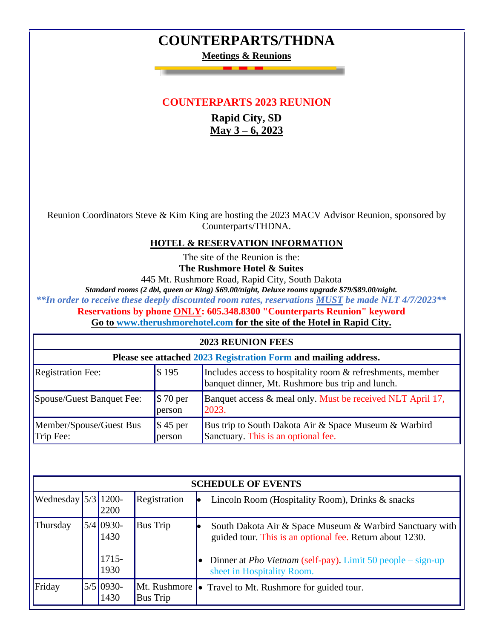## **COUNTERPARTS/THDNA**

**Meetings & Reunions**

## **COUNTERPARTS 2023 REUNION**

**Rapid City, SD May 3 – 6, 2023**

Reunion Coordinators Steve & Kim King are hosting the 2023 MACV Advisor Reunion, sponsored by Counterparts/THDNA.

## **HOTEL & RESERVATION INFORMATION**

The site of the Reunion is the: **The Rushmore Hotel & Suites**

445 Mt. Rushmore Road, Rapid City, South Dakota

*Standard rooms (2 dbl, queen or King) \$69.00/night, Deluxe rooms upgrade \$79/\$89.00/night.*

*\*\*In order to receive these deeply discounted room rates, reservations MUST be made NLT 4/7/2023\*\**

**Reservations by phone ONLY: 605.348.8300 "Counterparts Reunion" keyword**

**Go to [www.ther](http://www.the/)ushmorehotel.com for the site of the Hotel in Rapid City.**

| <b>2023 REUNION FEES</b>                                        |                                |                                                                                                                |  |  |  |  |  |
|-----------------------------------------------------------------|--------------------------------|----------------------------------------------------------------------------------------------------------------|--|--|--|--|--|
| Please see attached 2023 Registration Form and mailing address. |                                |                                                                                                                |  |  |  |  |  |
| <b>Registration Fee:</b>                                        | \$195                          | Includes access to hospitality room & refreshments, member<br>banquet dinner, Mt. Rushmore bus trip and lunch. |  |  |  |  |  |
| Spouse/Guest Banquet Fee:                                       | $\frac{1}{2}$ 70 per<br>person | Banquet access & meal only. Must be received NLT April 17,<br>2023.                                            |  |  |  |  |  |
| Member/Spouse/Guest Bus<br>Trip Fee:                            | $\frac{1}{2}$ 45 per<br>person | Bus trip to South Dakota Air & Space Museum & Warbird<br>Sanctuary. This is an optional fee.                   |  |  |  |  |  |

| <b>SCHEDULE OF EVENTS</b>                    |  |                     |                          |  |                                                                                                                      |
|----------------------------------------------|--|---------------------|--------------------------|--|----------------------------------------------------------------------------------------------------------------------|
| Wednesday $\left  \frac{5}{3} \right $ 1200- |  | 2200                | Registration             |  | Lincoln Room (Hospitality Room), Drinks & snacks                                                                     |
| Thursday                                     |  | $5/4$ 0930-<br>1430 | <b>Bus Trip</b>          |  | South Dakota Air & Space Museum & Warbird Sanctuary with<br>guided tour. This is an optional fee. Return about 1230. |
|                                              |  | 1715-<br>1930       |                          |  | Dinner at <i>Pho Vietnam</i> (self-pay). Limit 50 people $-\text{sign-up}$<br>sheet in Hospitality Room.             |
| Friday                                       |  | $5/5$ 0930-<br>1430 | Mt. Rushmore<br>Bus Trip |  | • Travel to Mt. Rushmore for guided tour.                                                                            |